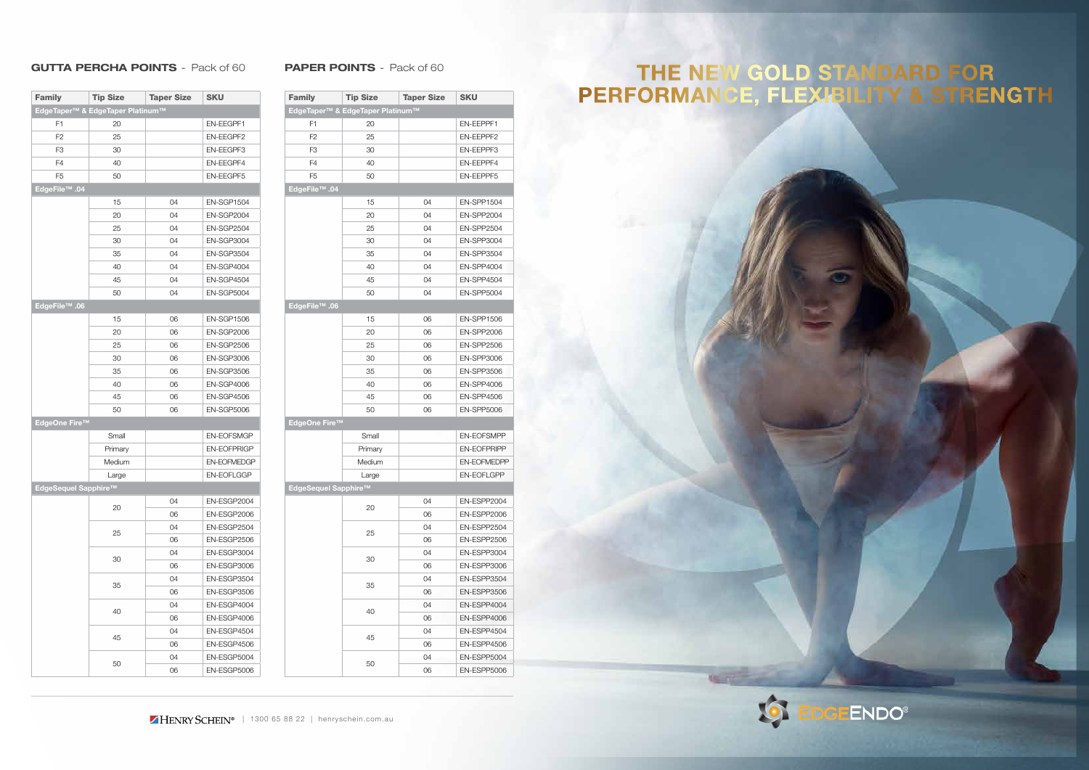#### GUTTA PERCHA POINTS - Pack of 60 PAPER POINTS - Pack of 60

| <b>Family</b>                                | <b>Tip Size</b> | <b>Taper Size</b> | <b>SKU</b>         |  |  |
|----------------------------------------------|-----------------|-------------------|--------------------|--|--|
| EdgeTaper <sup>™</sup> & EdgeTaper Platinum™ |                 |                   |                    |  |  |
| F <sub>1</sub>                               | 20              |                   | EN-EEGPF1          |  |  |
| F <sub>2</sub>                               | 25              |                   | EN-EEGPF2          |  |  |
| F <sub>3</sub>                               | 30              |                   | EN-EEGPF3          |  |  |
| F <sub>4</sub>                               | 40              |                   | EN-EEGPF4          |  |  |
| F <sub>5</sub>                               | 50              |                   | <b>EN-EEGPF5</b>   |  |  |
| EdgeFile™ .04                                |                 |                   |                    |  |  |
|                                              | 15              | 04                | <b>EN-SGP1504</b>  |  |  |
|                                              | 20              | 04                | <b>EN-SGP2004</b>  |  |  |
|                                              | 25              | 04                | <b>EN-SGP2504</b>  |  |  |
|                                              | 30              | 04                | <b>EN-SGP3004</b>  |  |  |
|                                              | 35              | 04                | <b>EN-SGP3504</b>  |  |  |
|                                              | 40              | 04                | EN-SGP4004         |  |  |
|                                              | 45              | 04                | EN-SGP4504         |  |  |
|                                              | 50              | 04                | <b>EN-SGP5004</b>  |  |  |
| EdgeFile™ .06                                |                 |                   |                    |  |  |
|                                              | 15              | 06                | <b>EN-SGP1506</b>  |  |  |
|                                              | 20              | 06                | <b>EN-SGP2006</b>  |  |  |
|                                              | 25              | 06                | <b>EN-SGP2506</b>  |  |  |
|                                              | 30              | 06                | EN-SGP3006         |  |  |
|                                              | 35              | 06                | <b>EN-SGP3506</b>  |  |  |
|                                              | 40              | 06                | <b>EN-SGP4006</b>  |  |  |
|                                              | 45              | 06                | <b>EN-SGP4506</b>  |  |  |
|                                              | 50              | 06                | <b>EN-SGP5006</b>  |  |  |
| EdgeOne Fire™                                |                 |                   |                    |  |  |
|                                              | Small           |                   | <b>EN-EOFSMGP</b>  |  |  |
|                                              | Primary         |                   | <b>EN-EOFPRIGP</b> |  |  |
|                                              | Medium          |                   | <b>EN-EOFMEDGP</b> |  |  |
|                                              | Large           |                   | <b>EN-EOFLGGP</b>  |  |  |
| EdgeSequel Sapphire™                         |                 |                   |                    |  |  |
|                                              | 20<br>25<br>30  | 04                | EN-ESGP2004        |  |  |
|                                              |                 | 06                | EN-ESGP2006        |  |  |
|                                              |                 | 04                | EN-ESGP2504        |  |  |
|                                              |                 | 06                | EN-ESGP2506        |  |  |
|                                              |                 | 04                | EN-ESGP3004        |  |  |
|                                              |                 | 06                | EN-ESGP3006        |  |  |
|                                              | 35              | 04                | EN-ESGP3504        |  |  |
|                                              |                 | 06                | EN-ESGP3506        |  |  |
|                                              |                 | 04                | EN-ESGP4004        |  |  |
|                                              | 40              | 06                | EN-ESGP4006        |  |  |
|                                              |                 | 04                | EN-ESGP4504        |  |  |
|                                              | 45              | 06                | EN-ESGP4506        |  |  |
|                                              |                 | 04                | EN-ESGP5004        |  |  |
|                                              | 50              |                   | EN-ESGP5006        |  |  |
|                                              | 06              |                   |                    |  |  |

| <b>Family</b>        | <b>Tip Size</b>                  | <b>Taper Size</b> | <b>SKU</b>         |
|----------------------|----------------------------------|-------------------|--------------------|
|                      | EdgeTaper™ & EdgeTaper Platinum™ |                   |                    |
| F1                   | 20                               |                   | EN-EEPPF1          |
| F <sub>2</sub>       | 25                               |                   | EN-EEPPF2          |
| F <sub>3</sub>       | 30                               |                   | EN-EEPPF3          |
| F <sub>4</sub>       | 40                               |                   | EN-EEPPF4          |
| F <sub>5</sub>       | 50                               |                   | <b>EN-EEPPF5</b>   |
| EdgeFile™ .04        |                                  |                   |                    |
|                      | 15                               | 04                | <b>EN-SPP1504</b>  |
|                      | 20                               | 04                | <b>EN-SPP2004</b>  |
|                      | 25                               | 04                | <b>EN-SPP2504</b>  |
|                      | 30                               | 04                | <b>EN-SPP3004</b>  |
|                      | 35                               | 04                | <b>EN-SPP3504</b>  |
|                      | 40                               | 04                | <b>EN-SPP4004</b>  |
|                      | 45                               | 04                | <b>EN-SPP4504</b>  |
|                      | 50                               | 04                | <b>EN-SPP5004</b>  |
| EdgeFile™ .06        |                                  |                   |                    |
|                      | 15                               | 06                | <b>EN-SPP1506</b>  |
|                      | 20                               | 06                | <b>EN-SPP2006</b>  |
|                      | 25                               | 06                | <b>EN-SPP2506</b>  |
|                      | 30                               | 06                | <b>EN-SPP3006</b>  |
|                      | 35                               | 06                | <b>EN-SPP3506</b>  |
|                      | 40                               | 06                | <b>EN-SPP4006</b>  |
|                      | 45                               | 06                | <b>EN-SPP4506</b>  |
|                      | 50                               | 06                | <b>EN-SPP5006</b>  |
| EdgeOne Fire™        |                                  |                   |                    |
|                      | Small                            |                   | <b>EN-EOFSMPP</b>  |
|                      | Primary                          |                   | <b>EN-EOFPRIPP</b> |
|                      | Medium                           |                   | <b>EN-EOFMEDPP</b> |
|                      | Large                            |                   | <b>EN-EOFLGPP</b>  |
| EdgeSequel Sapphire™ |                                  |                   |                    |
|                      |                                  | 04                | EN-ESPP2004        |
|                      | 20                               | 06                | EN-ESPP2006        |
|                      | 25<br>30                         | 04                | EN-ESPP2504        |
|                      |                                  | 06                | EN-ESPP2506        |
|                      |                                  | 04                | EN-ESPP3004        |
|                      |                                  | 06                | EN-ESPP3006        |
|                      | 35                               | 04                | EN-ESPP3504        |
|                      |                                  | 06                | EN-ESPP3506        |
|                      |                                  | 04                | EN-ESPP4004        |
|                      | 40                               | 06                | EN-ESPP4006        |
|                      |                                  | 04                | EN-ESPP4504        |
|                      | 45                               | 06                | EN-ESPP4506        |
|                      | 50                               | 04                | EN-ESPP5004        |
|                      |                                  | 06                | EN-ESPP5006        |
|                      |                                  |                   |                    |

# THE NEW GOLD STANDARD FOR<br>PERFORMANCE, FLEXIBILITY & STRENGTH